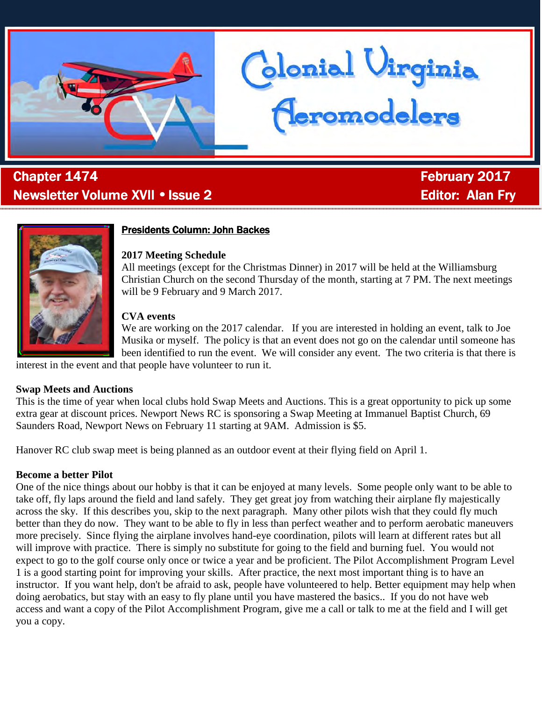

# . **Chapter 1474 Chapter 1474 February 2017** Newsletter Volume XVII • Issue 2 Editor: Editor: Alan Fry



## **Presidents Column: John Backes**

### **2017 Meeting Schedule**

All meetings (except for the Christmas Dinner) in 2017 will be held at the Williamsburg Christian Church on the second Thursday of the month, starting at 7 PM. The next meetings will be 9 February and 9 March 2017.

blonial Virginia<br>(Ieromodelers

### **CVA events**

We are working on the 2017 calendar. If you are interested in holding an event, talk to Joe Musika or myself. The policy is that an event does not go on the calendar until someone has been identified to run the event. We will consider any event. The two criteria is that there is

interest in the event and that people have volunteer to run it.

### **Swap Meets and Auctions**

This is the time of year when local clubs hold Swap Meets and Auctions. This is a great opportunity to pick up some extra gear at discount prices. Newport News RC is sponsoring a Swap Meeting at Immanuel Baptist Church, 69 Saunders Road, Newport News on February 11 starting at 9AM. Admission is \$5.

Hanover RC club swap meet is being planned as an outdoor event at their flying field on April 1.

### **Become a better Pilot**

One of the nice things about our hobby is that it can be enjoyed at many levels. Some people only want to be able to take off, fly laps around the field and land safely. They get great joy from watching their airplane fly majestically across the sky. If this describes you, skip to the next paragraph. Many other pilots wish that they could fly much better than they do now. They want to be able to fly in less than perfect weather and to perform aerobatic maneuvers more precisely. Since flying the airplane involves hand-eye coordination, pilots will learn at different rates but all will improve with practice. There is simply no substitute for going to the field and burning fuel. You would not expect to go to the golf course only once or twice a year and be proficient. The Pilot Accomplishment Program Level 1 is a good starting point for improving your skills. After practice, the next most important thing is to have an instructor. If you want help, don't be afraid to ask, people have volunteered to help. Better equipment may help when doing aerobatics, but stay with an easy to fly plane until you have mastered the basics.. If you do not have web access and want a copy of the Pilot Accomplishment Program, give me a call or talk to me at the field and I will get you a copy.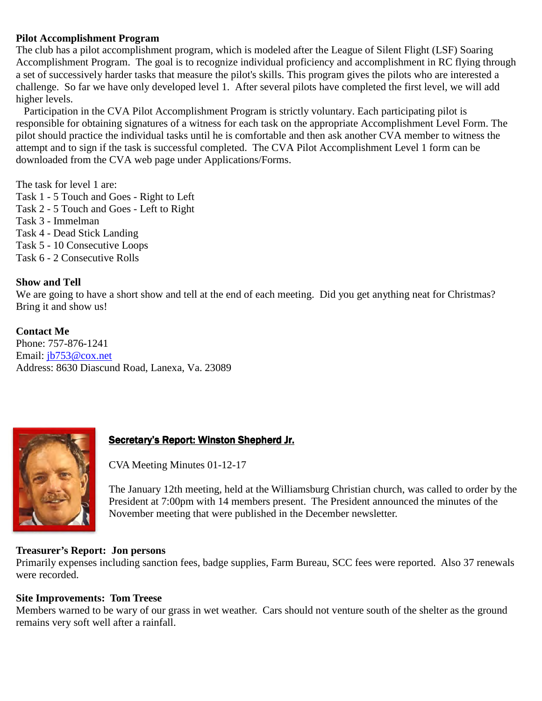## **Pilot Accomplishment Program**

The club has a pilot accomplishment program, which is modeled after the League of Silent Flight (LSF) Soaring Accomplishment Program. The goal is to recognize individual proficiency and accomplishment in RC flying through a set of successively harder tasks that measure the pilot's skills. This program gives the pilots who are interested a challenge. So far we have only developed level 1. After several pilots have completed the first level, we will add higher levels.

 Participation in the CVA Pilot Accomplishment Program is strictly voluntary. Each participating pilot is responsible for obtaining signatures of a witness for each task on the appropriate Accomplishment Level Form. The pilot should practice the individual tasks until he is comfortable and then ask another CVA member to witness the attempt and to sign if the task is successful completed. The CVA Pilot Accomplishment Level 1 form can be downloaded from the CVA web page under Applications/Forms.

The task for level 1 are:

- Task 1 5 Touch and Goes Right to Left Task 2 - 5 Touch and Goes - Left to Right Task 3 - Immelman Task 4 - Dead Stick Landing Task 5 - 10 Consecutive Loops
- Task 6 2 Consecutive Rolls

## **Show and Tell**

We are going to have a short show and tell at the end of each meeting. Did you get anything neat for Christmas? Bring it and show us!

**Contact Me**  Phone: 757-876-1241 Email: jb753@cox.net Address: 8630 Diascund Road, Lanexa, Va. 23089



## Secretary's Report: Winston Shepherd Jr.

CVA Meeting Minutes 01-12-17

The January 12th meeting, held at the Williamsburg Christian church, was called to order by the President at 7:00pm with 14 members present. The President announced the minutes of the November meeting that were published in the December newsletter.

### **Treasurer's Report: Jon persons**

Primarily expenses including sanction fees, badge supplies, Farm Bureau, SCC fees were reported. Also 37 renewals were recorded.

## **Site Improvements: Tom Treese**

Members warned to be wary of our grass in wet weather. Cars should not venture south of the shelter as the ground remains very soft well after a rainfall.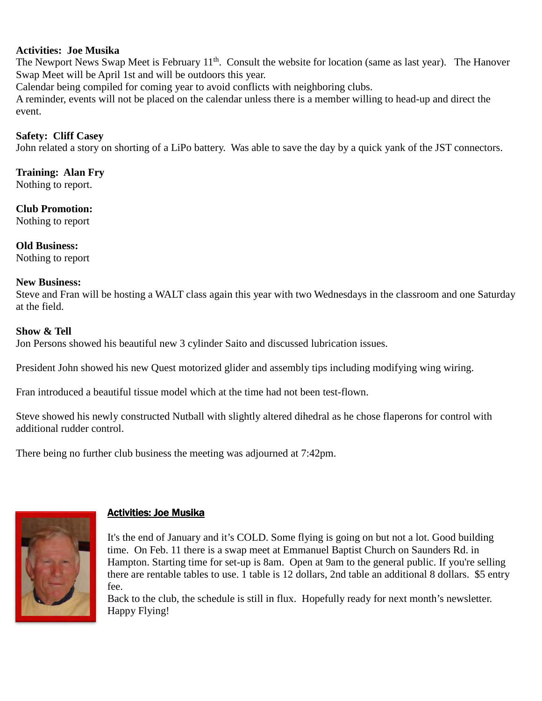### **Activities: Joe Musika**

The Newport News Swap Meet is February 11<sup>th</sup>. Consult the website for location (same as last year). The Hanover Swap Meet will be April 1st and will be outdoors this year.

Calendar being compiled for coming year to avoid conflicts with neighboring clubs.

A reminder, events will not be placed on the calendar unless there is a member willing to head-up and direct the event.

### **Safety: Cliff Casey**

John related a story on shorting of a LiPo battery. Was able to save the day by a quick yank of the JST connectors.

### **Training: Alan Fry**

Nothing to report.

### **Club Promotion:**

Nothing to report

# **Old Business:**

Nothing to report

### **New Business:**

Steve and Fran will be hosting a WALT class again this year with two Wednesdays in the classroom and one Saturday at the field.

### **Show & Tell**

Jon Persons showed his beautiful new 3 cylinder Saito and discussed lubrication issues.

President John showed his new Quest motorized glider and assembly tips including modifying wing wiring.

Fran introduced a beautiful tissue model which at the time had not been test-flown.

Steve showed his newly constructed Nutball with slightly altered dihedral as he chose flaperons for control with additional rudder control.

There being no further club business the meeting was adjourned at 7:42pm.



## Activities: Joe Musika

It's the end of January and it's COLD. Some flying is going on but not a lot. Good building time. On Feb. 11 there is a swap meet at Emmanuel Baptist Church on Saunders Rd. in Hampton. Starting time for set-up is 8am. Open at 9am to the general public. If you're selling there are rentable tables to use. 1 table is 12 dollars, 2nd table an additional 8 dollars. \$5 entry fee.

Back to the club, the schedule is still in flux. Hopefully ready for next month's newsletter. Happy Flying!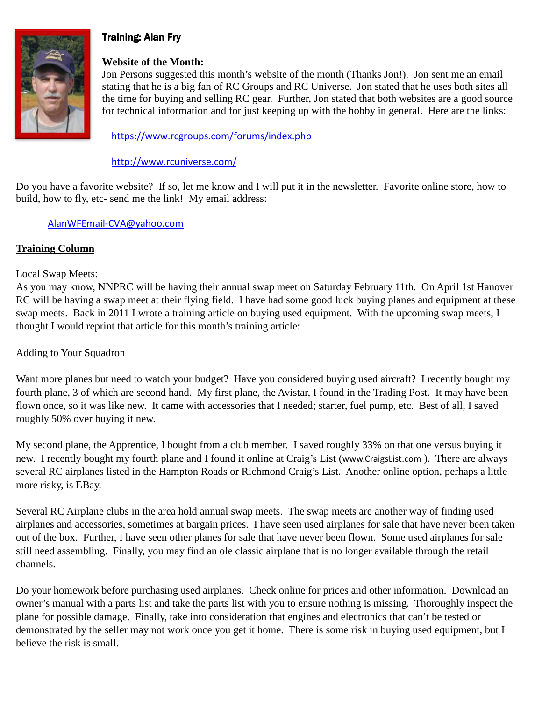

# Training: Alan Fry

## **Website of the Month:**

Jon Persons suggested this month's website of the month (Thanks Jon!). Jon sent me an email stating that he is a big fan of RC Groups and RC Universe. Jon stated that he uses both sites all the time for buying and selling RC gear. Further, Jon stated that both websites are a good source for technical information and for just keeping up with the hobby in general. Here are the links:

https://www.rcgroups.com/forums/index.php

## http://www.rcuniverse.com/

Do you have a favorite website? If so, let me know and I will put it in the newsletter. Favorite online store, how to build, how to fly, etc- send me the link! My email address:

## AlanWFEmail-CVA@yahoo.com

### **Training Column**

### Local Swap Meets:

As you may know, NNPRC will be having their annual swap meet on Saturday February 11th. On April 1st Hanover RC will be having a swap meet at their flying field. I have had some good luck buying planes and equipment at these swap meets. Back in 2011 I wrote a training article on buying used equipment. With the upcoming swap meets, I thought I would reprint that article for this month's training article:

## Adding to Your Squadron

Want more planes but need to watch your budget? Have you considered buying used aircraft? I recently bought my fourth plane, 3 of which are second hand. My first plane, the Avistar, I found in the Trading Post. It may have been flown once, so it was like new. It came with accessories that I needed; starter, fuel pump, etc. Best of all, I saved roughly 50% over buying it new.

My second plane, the Apprentice, I bought from a club member. I saved roughly 33% on that one versus buying it new. I recently bought my fourth plane and I found it online at Craig's List (www.CraigsList.com ). There are always several RC airplanes listed in the Hampton Roads or Richmond Craig's List. Another online option, perhaps a little more risky, is EBay.

Several RC Airplane clubs in the area hold annual swap meets. The swap meets are another way of finding used airplanes and accessories, sometimes at bargain prices. I have seen used airplanes for sale that have never been taken out of the box. Further, I have seen other planes for sale that have never been flown. Some used airplanes for sale still need assembling. Finally, you may find an ole classic airplane that is no longer available through the retail channels.

Do your homework before purchasing used airplanes. Check online for prices and other information. Download an owner's manual with a parts list and take the parts list with you to ensure nothing is missing. Thoroughly inspect the plane for possible damage. Finally, take into consideration that engines and electronics that can't be tested or demonstrated by the seller may not work once you get it home. There is some risk in buying used equipment, but I believe the risk is small.